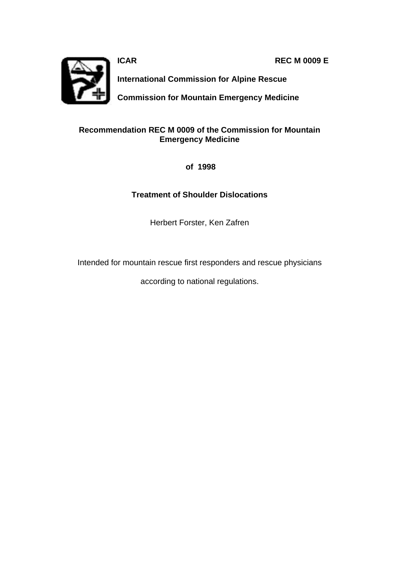**ICAR REC M 0009 E** 



**International Commission for Alpine Rescue**

**Commission for Mountain Emergency Medicine**

### **Recommendation REC M 0009 of the Commission for Mountain Emergency Medicine**

 **of 1998**

## **Treatment of Shoulder Dislocations**

Herbert Forster, Ken Zafren

Intended for mountain rescue first responders and rescue physicians

according to national regulations.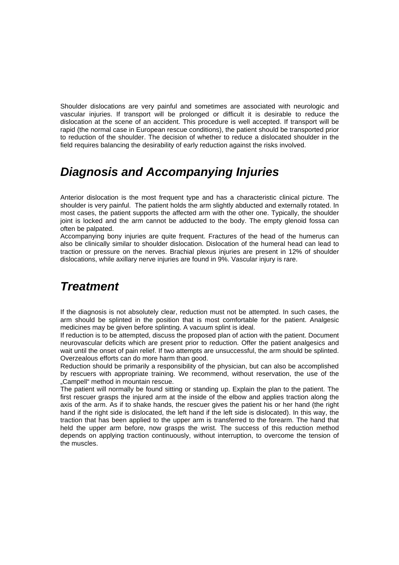Shoulder dislocations are very painful and sometimes are associated with neurologic and vascular injuries. If transport will be prolonged or difficult it is desirable to reduce the dislocation at the scene of an accident. This procedure is well accepted. If transport will be rapid (the normal case in European rescue conditions), the patient should be transported prior to reduction of the shoulder. The decision of whether to reduce a dislocated shoulder in the field requires balancing the desirability of early reduction against the risks involved.

# *Diagnosis and Accompanying Injuries*

Anterior dislocation is the most frequent type and has a characteristic clinical picture. The shoulder is very painful. The patient holds the arm slightly abducted and externally rotated. In most cases, the patient supports the affected arm with the other one. Typically, the shoulder joint is locked and the arm cannot be adducted to the body. The empty glenoid fossa can often be palpated.

Accompanying bony injuries are quite frequent. Fractures of the head of the humerus can also be clinically similar to shoulder dislocation. Dislocation of the humeral head can lead to traction or pressure on the nerves. Brachial plexus injuries are present in 12% of shoulder dislocations, while axillary nerve injuries are found in 9%. Vascular injury is rare.

## *Treatment*

If the diagnosis is not absolutely clear, reduction must not be attempted. In such cases, the arm should be splinted in the position that is most comfortable for the patient. Analgesic medicines may be given before splinting. A vacuum splint is ideal.

If reduction is to be attempted, discuss the proposed plan of action with the patient. Document neurovascular deficits which are present prior to reduction. Offer the patient analgesics and wait until the onset of pain relief. If two attempts are unsuccessful, the arm should be splinted. Overzealous efforts can do more harm than good.

Reduction should be primarily a responsibility of the physician, but can also be accomplished by rescuers with appropriate training. We recommend, without reservation, the use of the "Campell" method in mountain rescue.

The patient will normally be found sitting or standing up. Explain the plan to the patient. The first rescuer grasps the injured arm at the inside of the elbow and applies traction along the axis of the arm. As if to shake hands, the rescuer gives the patient his or her hand (the right hand if the right side is dislocated, the left hand if the left side is dislocated). In this way, the traction that has been applied to the upper arm is transferred to the forearm. The hand that held the upper arm before, now grasps the wrist. The success of this reduction method depends on applying traction continuously, without interruption, to overcome the tension of the muscles.